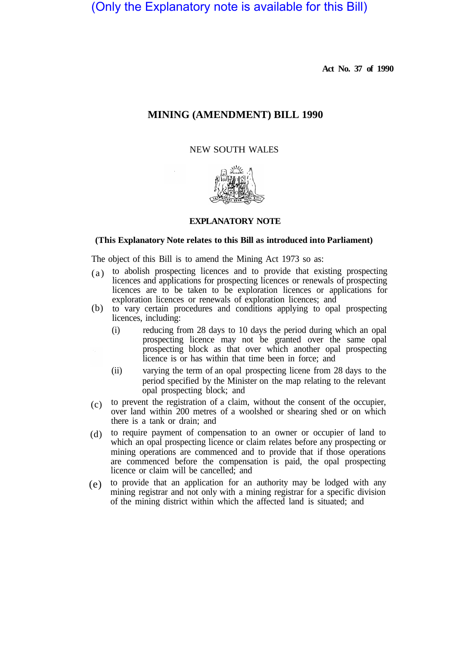(Only the Explanatory note is available for this Bill)

**Act No. 37 of 1990** 

## **MINING (AMENDMENT) BILL 1990**

NEW SOUTH WALES



## **EXPLANATORY NOTE**

## **(This Explanatory Note relates to this Bill as introduced into Parliament)**

The object of this Bill is to amend the Mining Act 1973 so as:

- to abolish prospecting licences and to provide that existing prospecting licences and applications for prospecting licences or renewals of prospecting licences are to be taken to be exploration licences or applications for exploration licences or renewals of exploration licences; and  $(a)$
- (b) to vary certain procedures and conditions applying to opal prospecting licences, including:
	- (i) reducing from 28 days to 10 days the period during which an opal prospecting licence may not be granted over the same opal prospecting block as that over which another opal prospecting licence is or has within that time been in force; and
	- (ii) varying the term of an opal prospecting licene from 28 days to the period specified by the Minister on the map relating to the relevant opal prospecting block; and
- to prevent the registration of a claim, without the consent of the occupier, over land within 200 metres of a woolshed or shearing shed or on which there is a tank or drain; and  $(c)$
- to require payment of compensation to an owner or occupier of land to which an opal prospecting licence or claim relates before any prospecting or mining operations are commenced and to provide that if those operations are commenced before the compensation is paid, the opal prospecting licence or claim will be cancelled; and (d)
- to provide that an application for an authority may be lodged with any (e) mining registrar and not only with a mining registrar for a specific division of the mining district within which the affected land is situated; and